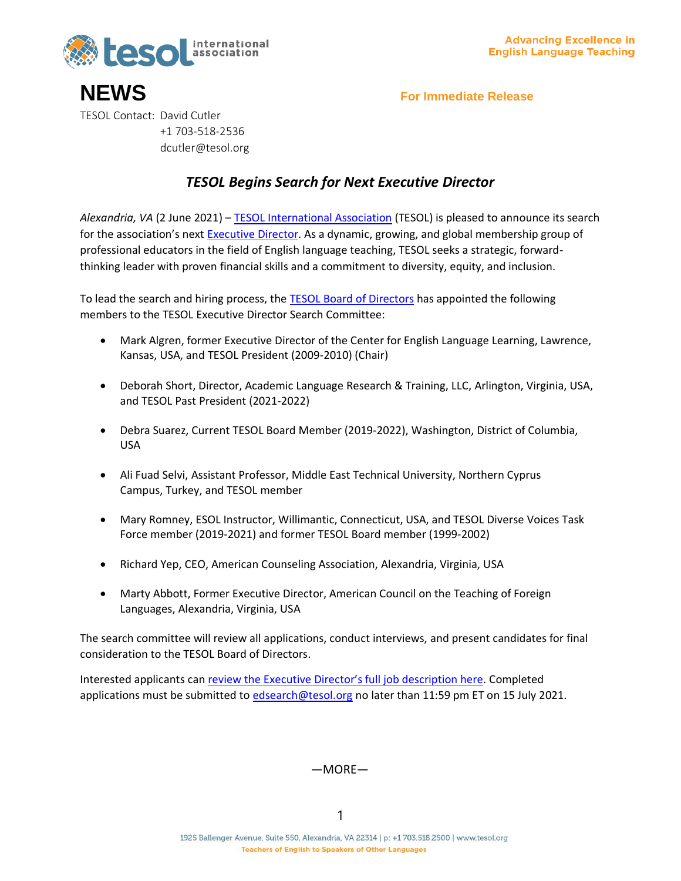

**NEWS For Immediate Release** TESOL Contact: David Cutler +1 703-518-2536 dcutler@tesol.org

## *TESOL Begins Search for Next Executive Director*

*Alexandria, VA* (2 June 2021) – [TESOL International Association](http://tesol.org/) (TESOL) is pleased to announce its search for the association's next [Executive Director.](http://tesol.org/ed-search) As a dynamic, growing, and global membership group of professional educators in the field of English language teaching, TESOL seeks a strategic, forwardthinking leader with proven financial skills and a commitment to diversity, equity, and inclusion.

To lead the search and hiring process, the [TESOL Board of Directors](https://www.tesol.org/about-tesol/association-governance/board-of-directors) has appointed the following members to the TESOL Executive Director Search Committee:

- Mark Algren, former Executive Director of the Center for English Language Learning, Lawrence, Kansas, USA, and TESOL President (2009-2010) (Chair)
- Deborah Short, Director, Academic Language Research & Training, LLC, Arlington, Virginia, USA, and TESOL Past President (2021-2022)
- Debra Suarez, Current TESOL Board Member (2019-2022), Washington, District of Columbia, USA
- Ali Fuad Selvi, Assistant Professor, Middle East Technical University, Northern Cyprus Campus, Turkey, and TESOL member
- Mary Romney, ESOL Instructor, Willimantic, Connecticut, USA, and TESOL Diverse Voices Task Force member (2019-2021) and former TESOL Board member (1999-2002)
- Richard Yep, CEO, American Counseling Association, Alexandria, Virginia, USA
- Marty Abbott, Former Executive Director, American Council on the Teaching of Foreign Languages, Alexandria, Virginia, USA

The search committee will review all applications, conduct interviews, and present candidates for final consideration to the TESOL Board of Directors.

Interested applicants can [review the Executive Director's full job description here](http://www.tesol.org/ed-search). Completed applications must be submitted to [edsearch@tesol.org](mailto:edsearch@tesol.org) no later than 11:59 pm ET on 15 July 2021.

## —MORE—